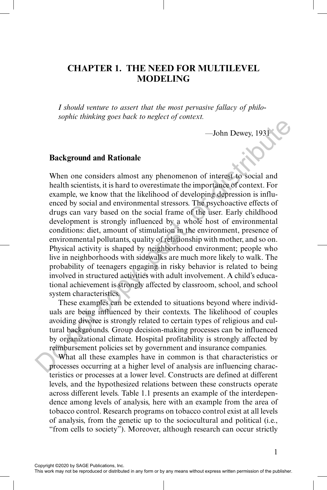# **CHAPTER 1. THE NEED FOR MULTILEVEL MODELING**

*I should venture to assert that the most pervasive fallacy of philosophic thinking goes back to neglect of context.*

—John Dewey, 1931

#### **Background and Rationale**

When one considers almost any phenomenon of interest to social and health scientists, it is hard to overestimate the importance of context. For example, we know that the likelihood of developing depression is influenced by social and environmental stressors. The psychoactive effects of drugs can vary based on the social frame of the user. Early childhood development is strongly influenced by a whole host of environmental conditions: diet, amount of stimulation in the environment, presence of environmental pollutants, quality of relationship with mother, and so on. Physical activity is shaped by neighborhood environment; people who live in neighborhoods with sidewalks are much more likely to walk. The probability of teenagers engaging in risky behavior is related to being involved in structured activities with adult involvement. A child's educational achievement is strongly affected by classroom, school, and school system characteristics. —John Dewey, 1931<br>  $\blacksquare$ <br>
—John Dewey, 1931<br>
When one considers almost any phenomenon of interest to social and<br>
health scientists, it is hard to everestimate the improfance of the productive effects<br>or distributed or de

These examples can be extended to situations beyond where individuals are being influenced by their contexts. The likelihood of couples avoiding divorce is strongly related to certain types of religious and cultural backgrounds. Group decision-making processes can be influenced by organizational climate. Hospital profitability is strongly affected by reimbursement policies set by government and insurance companies.

What all these examples have in common is that characteristics or processes occurring at a higher level of analysis are influencing characteristics or processes at a lower level. Constructs are defined at different levels, and the hypothesized relations between these constructs operate across different levels. Table 1.1 presents an example of the interdependence among levels of analysis, here with an example from the area of tobacco control. Research programs on tobacco control exist at all levels of analysis, from the genetic up to the sociocultural and political (i.e., "from cells to society"). Moreover, although research can occur strictly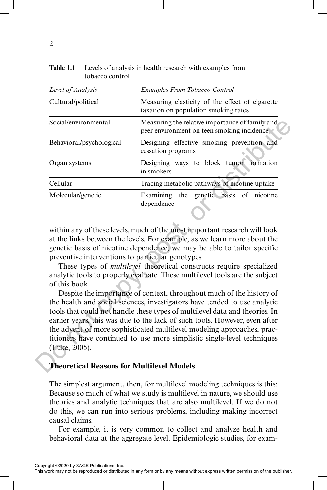| Level of Analysis                                | Examples From Tobacco Control                                                                                                                                                                                                                                                                                                                                                                                                                                                                                                                      |
|--------------------------------------------------|----------------------------------------------------------------------------------------------------------------------------------------------------------------------------------------------------------------------------------------------------------------------------------------------------------------------------------------------------------------------------------------------------------------------------------------------------------------------------------------------------------------------------------------------------|
| Cultural/political                               | Measuring elasticity of the effect of cigarette<br>taxation on population smoking rates                                                                                                                                                                                                                                                                                                                                                                                                                                                            |
| Social/environmental                             | Measuring the relative importance of family and<br>peer environment on teen smoking incidence                                                                                                                                                                                                                                                                                                                                                                                                                                                      |
| Behavioral/psychological                         | Designing effective smoking prevention and<br>cessation programs                                                                                                                                                                                                                                                                                                                                                                                                                                                                                   |
| Organ systems                                    | Designing ways to block tumor<br>formation<br>in smokers                                                                                                                                                                                                                                                                                                                                                                                                                                                                                           |
| Cellular                                         | Tracing metabolic pathways of nicotine uptake                                                                                                                                                                                                                                                                                                                                                                                                                                                                                                      |
| Molecular/genetic                                | genetic basis of nicotine<br>Examining<br>the<br>dependence                                                                                                                                                                                                                                                                                                                                                                                                                                                                                        |
|                                                  |                                                                                                                                                                                                                                                                                                                                                                                                                                                                                                                                                    |
|                                                  | preventive interventions to particular genotypes.<br>These types of <i>multilevel</i> theoretical constructs require specialized                                                                                                                                                                                                                                                                                                                                                                                                                   |
| of this book.<br>(Luke, 2005).                   | analytic tools to properly evaluate. These multilevel tools are the subject<br>Despite the importance of context, throughout much of the history of<br>the health and social sciences, investigators have tended to use analytic<br>tools that could not handle these types of multilevel data and theories. In<br>earlier years, this was due to the lack of such tools. However, even after<br>the advent of more sophisticated multilevel modeling approaches, prac-<br>titioners have continued to use more simplistic single-level techniques |
| <b>Theoretical Reasons for Multilevel Models</b> |                                                                                                                                                                                                                                                                                                                                                                                                                                                                                                                                                    |

**Table 1.1** Levels of analysis in health research with examples from tobacco control

### **Theoretical Reasons for Multilevel Models**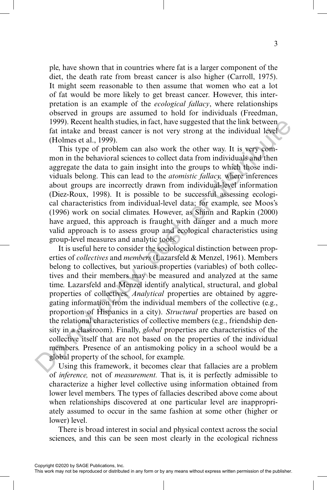ple, have shown that in countries where fat is a larger component of the diet, the death rate from breast cancer is also higher (Carroll, 1975). It might seem reasonable to then assume that women who eat a lot of fat would be more likely to get breast cancer. However, this interpretation is an example of the *ecological fallacy*, where relationships observed in groups are assumed to hold for individuals (Freedman, 1999). Recent health studies, in fact, have suggested that the link between fat intake and breast cancer is not very strong at the individual level (Holmes et al., 1999).

This type of problem can also work the other way. It is very common in the behavioral sciences to collect data from individuals and then aggregate the data to gain insight into the groups to which those individuals belong. This can lead to the *atomistic fallacy,* where inferences about groups are incorrectly drawn from individual-level information (Diez-Roux, 1998). It is possible to be successful assessing ecological characteristics from individual-level data; for example, see Moos's (1996) work on social climates. However, as Shinn and Rapkin (2000) have argued, this approach is fraught with danger and a much more valid approach is to assess group and ecological characteristics using group-level measures and analytic tools.

It is useful here to consider the sociological distinction between properties of *collectives* and *members* (Lazarsfeld & Menzel, 1961). Members belong to collectives, but various properties (variables) of both collectives and their members may be measured and analyzed at the same time. Lazarsfeld and Menzel identify analytical, structural, and global properties of collectives. *Analytical* properties are obtained by aggregating information from the individual members of the collective (e.g., proportion of Hispanics in a city). *Structural* properties are based on the relational characteristics of collective members (e.g., friendship density in a classroom). Finally, *global* properties are characteristics of the collective itself that are not based on the properties of the individual members. Presence of an antismoking policy in a school would be a global property of the school, for example. 1999). Recent the latt solutions, in fact, have suggested that the link between<br>This type or (Problem can also work the other way. It is very com-<br>mon in the behavioral sciences to collect data from individuals and then<br>ag

Using this framework, it becomes clear that fallacies are a problem of *inference,* not of *measurement.* That is, it is perfectly admissible to characterize a higher level collective using information obtained from lower level members. The types of fallacies described above come about when relationships discovered at one particular level are inappropriately assumed to occur in the same fashion at some other (higher or lower) level.

There is broad interest in social and physical context across the social sciences, and this can be seen most clearly in the ecological richness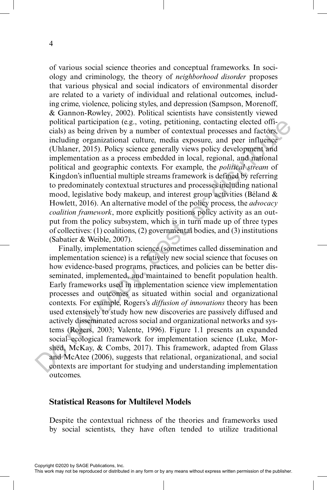of various social science theories and conceptual frameworks. In sociology and criminology, the theory of *neighborhood disorder* proposes that various physical and social indicators of environmental disorder are related to a variety of individual and relational outcomes, including crime, violence, policing styles, and depression (Sampson, Morenoff, & Gannon-Rowley, 2002). Political scientists have consistently viewed political participation (e.g., voting, petitioning, contacting elected officials) as being driven by a number of contextual processes and factors, including organizational culture, media exposure, and peer influence (Uhlaner, 2015). Policy science generally views policy development and implementation as a process embedded in local, regional, and national political and geographic contexts. For example, the *political stream* of Kingdon's influential multiple streams framework is defined by referring to predominately contextual structures and processes including national mood, legislative body makeup, and interest group activities (Béland & Howlett, 2016). An alternative model of the policy process, the *advocacy coalition framework*, more explicitly positions policy activity as an output from the policy subsystem, which is in turn made up of three types of collectives: (1) coalitions, (2) governmental bodies, and (3) institutions (Sabatier & Weible, 2007).

Finally, implementation science (sometimes called dissemination and implementation science) is a relatively new social science that focuses on how evidence-based programs, practices, and policies can be better disseminated, implemented, and maintained to benefit population health. Early frameworks used in implementation science view implementation processes and outcomes as situated within social and organizational contexts. For example, Rogers's *diffusion of innovations* theory has been used extensively to study how new discoveries are passively diffused and actively disseminated across social and organizational networks and systems (Rogers, 2003; Valente, 1996). Figure 1.1 presents an expanded social–ecological framework for implementation science (Luke, Morshed, McKay, & Combs, 2017). This framework, adapted from Glass and McAtee (2006), suggests that relational, organizational, and social contexts are important for studying and understanding implementation outcomes. political participation (e.g., voting, petitioning, contacting elected officine<br>including regranization all culture, media exposure, and per influence<br>(Uhlaner, 2015). Policy science generally views policy development and

#### **Statistical Reasons for Multilevel Models**

Despite the contextual richness of the theories and frameworks used by social scientists, they have often tended to utilize traditional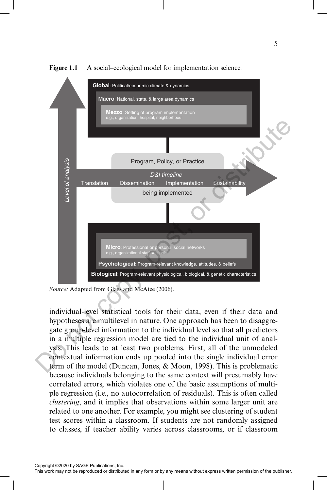

Figure 1.1 A social–ecological model for implementation science.

*Source:* Adapted from Glass and McAtee (2006).

individual-level statistical tools for their data, even if their data and hypotheses are multilevel in nature. One approach has been to disaggregate group-level information to the individual level so that all predictors in a multiple regression model are tied to the individual unit of analysis. This leads to at least two problems. First, all of the unmodeled contextual information ends up pooled into the single individual error term of the model (Duncan, Jones, & Moon, 1998). This is problematic because individuals belonging to the same context will presumably have correlated errors, which violates one of the basic assumptions of multiple regression (i.e., no autocorrelation of residuals). This is often called *clustering*, and it implies that observations within some larger unit are related to one another. For example, you might see clustering of student test scores within a classroom. If students are not randomly assigned to classes, if teacher ability varies across classrooms, or if classroom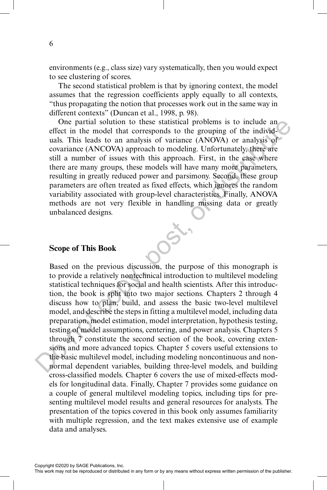environments (e.g., class size) vary systematically, then you would expect to see clustering of scores.

The second statistical problem is that by ignoring context, the model assumes that the regression coefficients apply equally to all contexts, "thus propagating the notion that processes work out in the same way in different contexts" (Duncan et al., 1998, p. 98).

One partial solution to these statistical problems is to include an effect in the model that corresponds to the grouping of the individuals. This leads to an analysis of variance (ANOVA) or analysis of covariance (ANCOVA) approach to modeling. Unfortunately, there are still a number of issues with this approach. First, in the case where there are many groups, these models will have many more parameters, resulting in greatly reduced power and parsimony. Second, these group parameters are often treated as fixed effects, which ignores the random variability associated with group-level characteristics. Finally, ANOVA methods are not very flexible in handling missing data or greatly unbalanced designs.

#### **Scope of This Book**

Based on the previous discussion, the purpose of this monograph is to provide a relatively nontechnical introduction to multilevel modeling statistical techniques for social and health scientists. After this introduction, the book is split into two major sections. Chapters 2 through 4 discuss how to plan, build, and assess the basic two-level multilevel model, and describe the steps in fitting a multilevel model, including data preparation, model estimation, model interpretation, hypothesis testing, testing of model assumptions, centering, and power analysis. Chapters 5 through 7 constitute the second section of the book, covering extensions and more advanced topics. Chapter 5 covers useful extensions to the basic multilevel model, including modeling noncontinuous and nonnormal dependent variables, building three-level models, and building cross-classified models. Chapter 6 covers the use of mixed-effects models for longitudinal data. Finally, Chapter 7 provides some guidance on a couple of general multilevel modeling topics, including tips for presenting multilevel model results and general resources for analysts. The presentation of the topics covered in this book only assumes familiarity with multiple regression, and the text makes extensive use of example data and analyses. One partial solution to these statistical problems is to include an<br>unks. This leads to an analysis of variance (ANOVA) a practice (ANOVA) are<br>provided or any any since (ANOVA) are contraded to modeling. Unfortunately,<br>th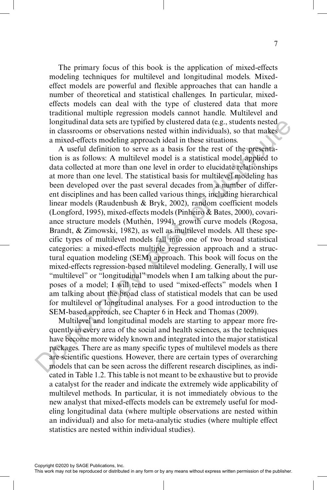The primary focus of this book is the application of mixed-effects modeling techniques for multilevel and longitudinal models. Mixedeffect models are powerful and flexible approaches that can handle a number of theoretical and statistical challenges. In particular, mixedeffects models can deal with the type of clustered data that more traditional multiple regression models cannot handle. Multilevel and longitudinal data sets are typified by clustered data (e.g., students nested in classrooms or observations nested within individuals), so that makes a mixed-effects modeling approach ideal in these situations.

A useful definition to serve as a basis for the rest of the presentation is as follows: A multilevel model is a statistical model applied to data collected at more than one level in order to elucidate relationships at more than one level. The statistical basis for multilevel modeling has been developed over the past several decades from a number of different disciplines and has been called various things, including hierarchical linear models (Raudenbush & Bryk, 2002), random coefficient models (Longford, 1995), mixed-effects models (Pinheiro & Bates, 2000), covariance structure models (Muthén, 1994), growth curve models (Rogosa, Brandt, & Zimowski, 1982), as well as multilevel models. All these specific types of multilevel models fall into one of two broad statistical categories: a mixed-effects multiple regression approach and a structural equation modeling (SEM) approach. This book will focus on the mixed-effects regression-based multilevel modeling. Generally, I will use "multilevel" or "longitudinal" models when I am talking about the purposes of a model; I will tend to used "mixed-effects" models when I am talking about the broad class of statistical models that can be used for multilevel or longitudinal analyses. For a good introduction to the SEM-based approach, see Chapter 6 in Heck and Thomas (2009). Iongitudinal data sets are typical data or the restantions. The restantions and the rest stride modeling approach ideal in these striutions an some deflects modeling approach ideal in these striutions as follows: A multile

Multilevel and longitudinal models are starting to appear more frequently in every area of the social and health sciences, as the techniques have become more widely known and integrated into the major statistical packages. There are as many specific types of multilevel models as there are scientific questions. However, there are certain types of overarching models that can be seen across the different research disciplines, as indicated in Table 1.2. This table is not meant to be exhaustive but to provide a catalyst for the reader and indicate the extremely wide applicability of multilevel methods. In particular, it is not immediately obvious to the new analyst that mixed-effects models can be extremely useful for modeling longitudinal data (where multiple observations are nested within an individual) and also for meta-analytic studies (where multiple effect statistics are nested within individual studies).